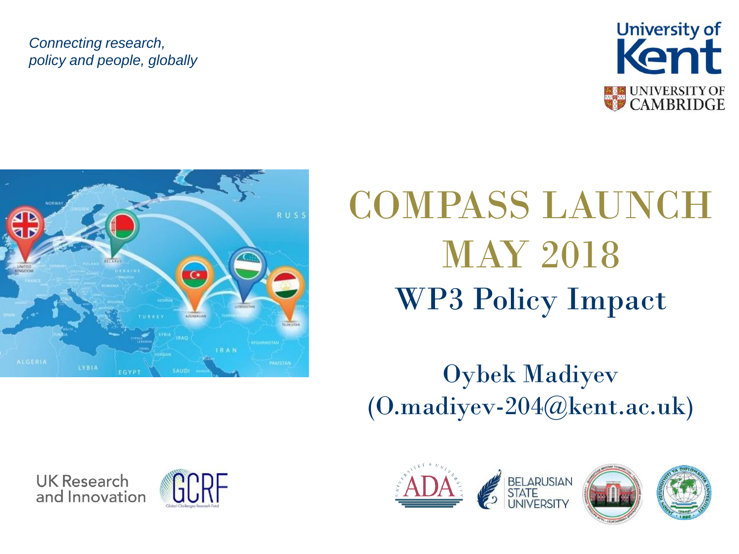#### *Connecting research, policy and people, globally*





**UK Research** 

and Innovation

# COMPASS LAUNCH MAY 2018 WP3 Policy Impact

### Oybek Madiyev (O.madiyev-204@kent.ac.uk)





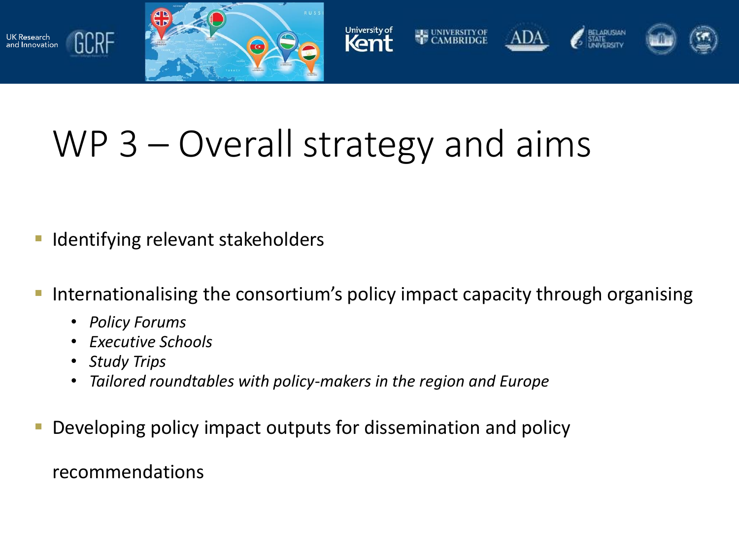



### WP 3 – Overall strategy and aims

- **I** Identifying relevant stakeholders
- **IF Internationalising the consortium's policy impact capacity through organising** 
	- *Policy Forums*
	- *Executive Schools*
	- *Study Trips*

UK Research<br>and Innovation

GCRF

- *Tailored roundtables with policy-makers in the region and Europe*
- **Developing policy impact outputs for dissemination and policy**

recommendations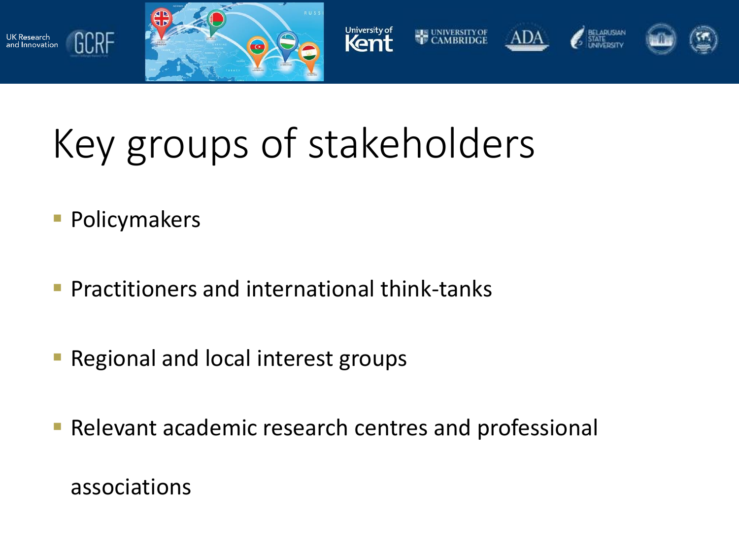



# Key groups of stakeholders

**Policymakers** 

UK Research<br>and Innovation

GCRF

- **Practitioners and international think-tanks**
- **Regional and local interest groups**
- **Relevant academic research centres and professional**

associations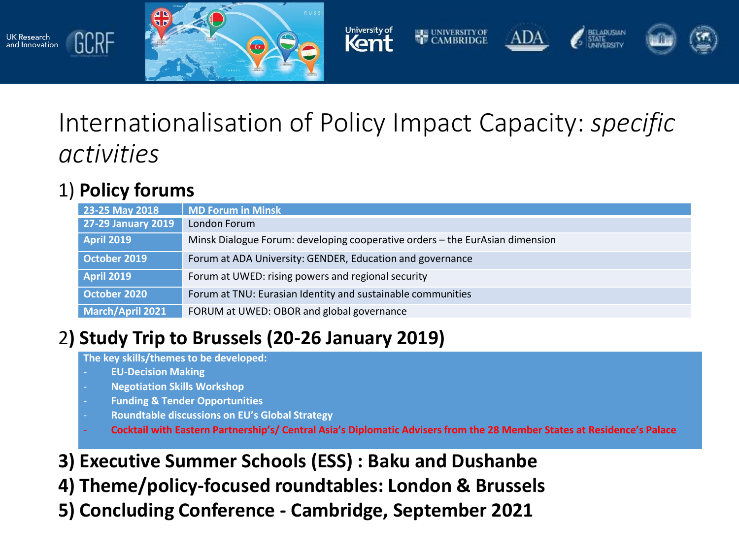



### Internationalisation of Policy Impact Capacity: *specific activities*

#### 1) **Policy forums**

GCRF

UK Research<br>and Innovation

| 23-25 May 2018            | MD Forum in Minsk                                                            |
|---------------------------|------------------------------------------------------------------------------|
| <b>27-29 January 2019</b> | London Forum                                                                 |
| <b>April 2019</b>         | Minsk Dialogue Forum: developing cooperative orders – the EurAsian dimension |
| October 2019              | Forum at ADA University: GENDER, Education and governance                    |
| <b>April 2019</b>         | Forum at UWED: rising powers and regional security                           |
| October 2020              | Forum at TNU: Eurasian Identity and sustainable communities                  |
| March/April 2021          | FORUM at UWED: OBOR and global governance                                    |

#### 2**) Study Trip to Brussels (20-26 January 2019)**

**The key skills/themes to be developed:**

- **EU-Decision Making**
- **Negotiation Skills Workshop**
- **Funding & Tender Opportunities**
- **Roundtable discussions on EU's Global Strategy**
- Cocktail with Eastern Partnership's/Central Asia's Diplomatic Advisers from the 28 Member States at Residence's Palace
- **3) Executive Summer Schools (ESS) : Baku and Dushanbe**
- **4) Theme/policy-focused roundtables: London & Brussels**
- **5) Concluding Conference - Cambridge, September 2021**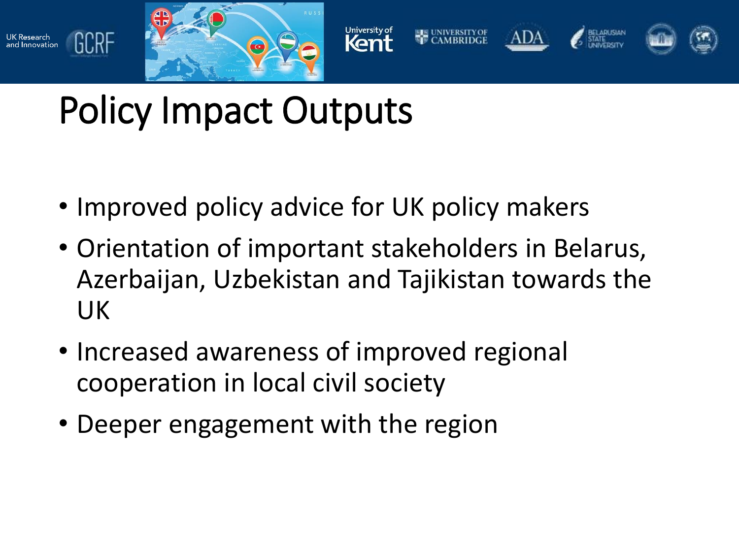

UK Research<br>and Innovation



## Policy Impact Outputs

- Improved policy advice for UK policy makers
- Orientation of important stakeholders in Belarus, Azerbaijan, Uzbekistan and Tajikistan towards the UK
- Increased awareness of improved regional cooperation in local civil society
- Deeper engagement with the region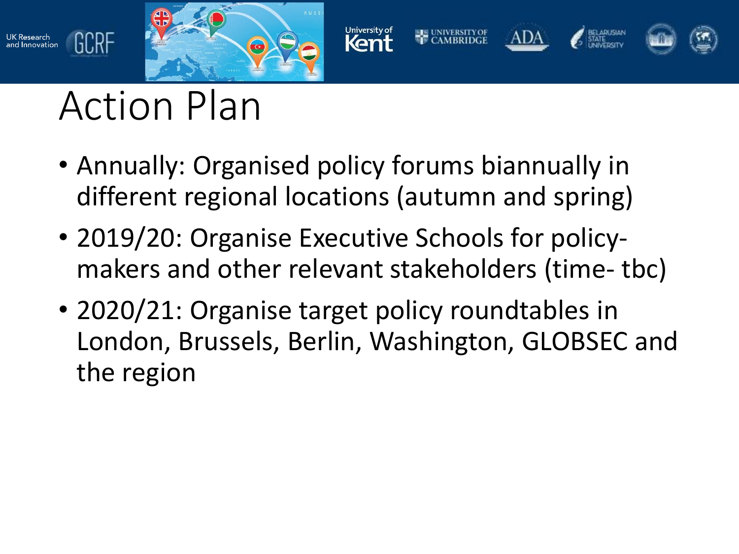



# Action Plan

UK Research<br>and Innovation

GCRF

- Annually: Organised policy forums biannually in different regional locations (autumn and spring)
- 2019/20: Organise Executive Schools for policymakers and other relevant stakeholders (time- tbc)
- 2020/21: Organise target policy roundtables in London, Brussels, Berlin, Washington, GLOBSEC and the region